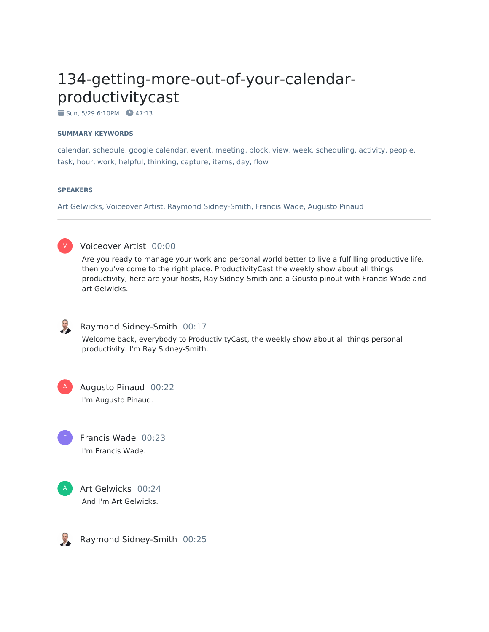# 134-getting-more-out-of-your-calendarproductivitycast

 $\bullet$  Sun, 5/29 6:10PM  $\bullet$  47:13

#### **SUMMARY KEYWORDS**

calendar, schedule, google calendar, event, meeting, block, view, week, scheduling, activity, people, task, hour, work, helpful, thinking, capture, items, day, flow

#### **SPEAKERS**

Art Gelwicks, Voiceover Artist, Raymond Sidney-Smith, Francis Wade, Augusto Pinaud



#### Voiceover Artist 00:00

Are you ready to manage your work and personal world better to live a fulfilling productive life, then you've come to the right place. ProductivityCast the weekly show about all things productivity, here are your hosts, Ray Sidney-Smith and a Gousto pinout with Francis Wade and art Gelwicks.



#### Raymond Sidney-Smith 00:17

Welcome back, everybody to ProductivityCast, the weekly show about all things personal productivity. I'm Ray Sidney-Smith.

Augusto Pinaud 00:22 I'm Augusto Pinaud. A





Art Gelwicks 00:24 And I'm Art Gelwicks.

Raymond Sidney-Smith 00:25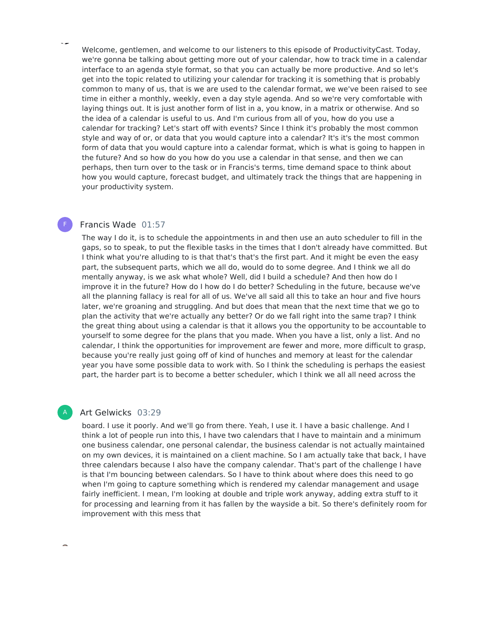Welcome, gentlemen, and welcome to our listeners to this episode of ProductivityCast. Today, we're gonna be talking about getting more out of your calendar, how to track time in a calendar interface to an agenda style format, so that you can actually be more productive. And so let's get into the topic related to utilizing your calendar for tracking it is something that is probably common to many of us, that is we are used to the calendar format, we we've been raised to see time in either a monthly, weekly, even a day style agenda. And so we're very comfortable with laying things out. It is just another form of list in a, you know, in a matrix or otherwise. And so the idea of a calendar is useful to us. And I'm curious from all of you, how do you use a calendar for tracking? Let's start off with events? Since I think it's probably the most common style and way of or, or data that you would capture into a calendar? It's it's the most common form of data that you would capture into a calendar format, which is what is going to happen in the future? And so how do you how do you use a calendar in that sense, and then we can perhaps, then turn over to the task or in Francis's terms, time demand space to think about how you would capture, forecast budget, and ultimately track the things that are happening in your productivity system.

#### Francis Wade 01:57

F

A

The way I do it, is to schedule the appointments in and then use an auto scheduler to fill in the gaps, so to speak, to put the flexible tasks in the times that I don't already have committed. But I think what you're alluding to is that that's that's the first part. And it might be even the easy part, the subsequent parts, which we all do, would do to some degree. And I think we all do mentally anyway, is we ask what whole? Well, did I build a schedule? And then how do I improve it in the future? How do I how do I do better? Scheduling in the future, because we've all the planning fallacy is real for all of us. We've all said all this to take an hour and five hours later, we're groaning and struggling. And but does that mean that the next time that we go to plan the activity that we're actually any better? Or do we fall right into the same trap? I think the great thing about using a calendar is that it allows you the opportunity to be accountable to yourself to some degree for the plans that you made. When you have a list, only a list. And no calendar, I think the opportunities for improvement are fewer and more, more difficult to grasp, because you're really just going off of kind of hunches and memory at least for the calendar year you have some possible data to work with. So I think the scheduling is perhaps the easiest part, the harder part is to become a better scheduler, which I think we all all need across the

#### Art Gelwicks 03:29

board. I use it poorly. And we'll go from there. Yeah, I use it. I have a basic challenge. And I think a lot of people run into this, I have two calendars that I have to maintain and a minimum one business calendar, one personal calendar, the business calendar is not actually maintained on my own devices, it is maintained on a client machine. So I am actually take that back, I have three calendars because I also have the company calendar. That's part of the challenge I have is that I'm bouncing between calendars. So I have to think about where does this need to go when I'm going to capture something which is rendered my calendar management and usage fairly inefficient. I mean, I'm looking at double and triple work anyway, adding extra stuff to it for processing and learning from it has fallen by the wayside a bit. So there's definitely room for improvement with this mess that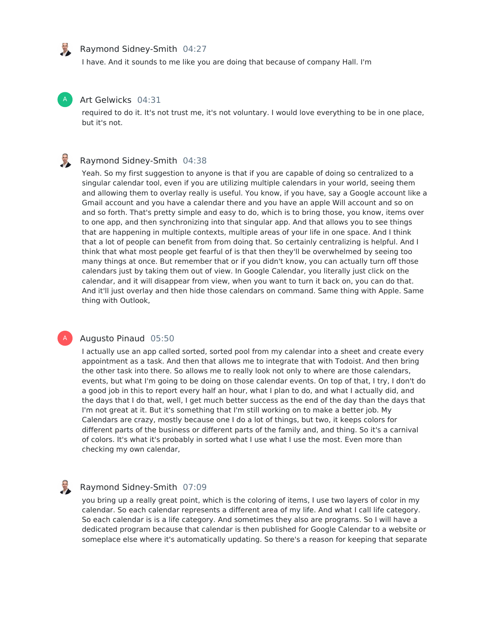#### Raymond Sidney-Smith 04:27

I have. And it sounds to me like you are doing that because of company Hall. I'm

#### Art Gelwicks 04:31

required to do it. It's not trust me, it's not voluntary. I would love everything to be in one place, but it's not.

#### Raymond Sidney-Smith 04:38

Yeah. So my first suggestion to anyone is that if you are capable of doing so centralized to a singular calendar tool, even if you are utilizing multiple calendars in your world, seeing them and allowing them to overlay really is useful. You know, if you have, say a Google account like a Gmail account and you have a calendar there and you have an apple Will account and so on and so forth. That's pretty simple and easy to do, which is to bring those, you know, items over to one app, and then synchronizing into that singular app. And that allows you to see things that are happening in multiple contexts, multiple areas of your life in one space. And I think that a lot of people can benefit from from doing that. So certainly centralizing is helpful. And I think that what most people get fearful of is that then they'll be overwhelmed by seeing too many things at once. But remember that or if you didn't know, you can actually turn off those calendars just by taking them out of view. In Google Calendar, you literally just click on the calendar, and it will disappear from view, when you want to turn it back on, you can do that. And it'll just overlay and then hide those calendars on command. Same thing with Apple. Same thing with Outlook,

#### Augusto Pinaud 05:50

A

B

I actually use an app called sorted, sorted pool from my calendar into a sheet and create every appointment as a task. And then that allows me to integrate that with Todoist. And then bring the other task into there. So allows me to really look not only to where are those calendars, events, but what I'm going to be doing on those calendar events. On top of that, I try, I don't do a good job in this to report every half an hour, what I plan to do, and what I actually did, and the days that I do that, well, I get much better success as the end of the day than the days that I'm not great at it. But it's something that I'm still working on to make a better job. My Calendars are crazy, mostly because one I do a lot of things, but two, it keeps colors for different parts of the business or different parts of the family and, and thing. So it's a carnival of colors. It's what it's probably in sorted what I use what I use the most. Even more than checking my own calendar,

#### Raymond Sidney-Smith 07:09

you bring up a really great point, which is the coloring of items, I use two layers of color in my calendar. So each calendar represents a different area of my life. And what I call life category. So each calendar is is a life category. And sometimes they also are programs. So I will have a dedicated program because that calendar is then published for Google Calendar to a website or someplace else where it's automatically updating. So there's a reason for keeping that separate

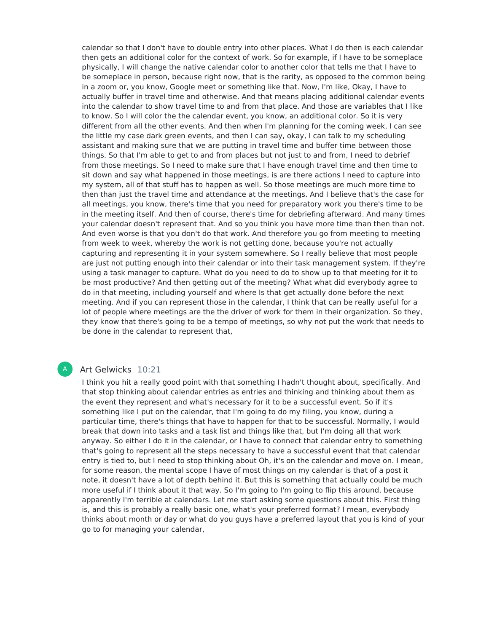calendar so that I don't have to double entry into other places. What I do then is each calendar then gets an additional color for the context of work. So for example, if I have to be someplace physically, I will change the native calendar color to another color that tells me that I have to be someplace in person, because right now, that is the rarity, as opposed to the common being in a zoom or, you know, Google meet or something like that. Now, I'm like, Okay, I have to actually buffer in travel time and otherwise. And that means placing additional calendar events into the calendar to show travel time to and from that place. And those are variables that I like to know. So I will color the the calendar event, you know, an additional color. So it is very different from all the other events. And then when I'm planning for the coming week, I can see the little my case dark green events, and then I can say, okay, I can talk to my scheduling assistant and making sure that we are putting in travel time and buffer time between those things. So that I'm able to get to and from places but not just to and from, I need to debrief from those meetings. So I need to make sure that I have enough travel time and then time to sit down and say what happened in those meetings, is are there actions I need to capture into my system, all of that stuff has to happen as well. So those meetings are much more time to then than just the travel time and attendance at the meetings. And I believe that's the case for all meetings, you know, there's time that you need for preparatory work you there's time to be in the meeting itself. And then of course, there's time for debriefing afterward. And many times your calendar doesn't represent that. And so you think you have more time than then than not. And even worse is that you don't do that work. And therefore you go from meeting to meeting from week to week, whereby the work is not getting done, because you're not actually capturing and representing it in your system somewhere. So I really believe that most people are just not putting enough into their calendar or into their task management system. If they're using a task manager to capture. What do you need to do to show up to that meeting for it to be most productive? And then getting out of the meeting? What what did everybody agree to do in that meeting, including yourself and where Is that get actually done before the next meeting. And if you can represent those in the calendar, I think that can be really useful for a lot of people where meetings are the the driver of work for them in their organization. So they, they know that there's going to be a tempo of meetings, so why not put the work that needs to be done in the calendar to represent that,

#### Art Gelwicks 10:21

A

I think you hit a really good point with that something I hadn't thought about, specifically. And that stop thinking about calendar entries as entries and thinking and thinking about them as the event they represent and what's necessary for it to be a successful event. So if it's something like I put on the calendar, that I'm going to do my filing, you know, during a particular time, there's things that have to happen for that to be successful. Normally, I would break that down into tasks and a task list and things like that, but I'm doing all that work anyway. So either I do it in the calendar, or I have to connect that calendar entry to something that's going to represent all the steps necessary to have a successful event that that calendar entry is tied to, but I need to stop thinking about Oh, it's on the calendar and move on. I mean, for some reason, the mental scope I have of most things on my calendar is that of a post it note, it doesn't have a lot of depth behind it. But this is something that actually could be much more useful if I think about it that way. So I'm going to I'm going to flip this around, because apparently I'm terrible at calendars. Let me start asking some questions about this. First thing is, and this is probably a really basic one, what's your preferred format? I mean, everybody thinks about month or day or what do you guys have a preferred layout that you is kind of your go to for managing your calendar,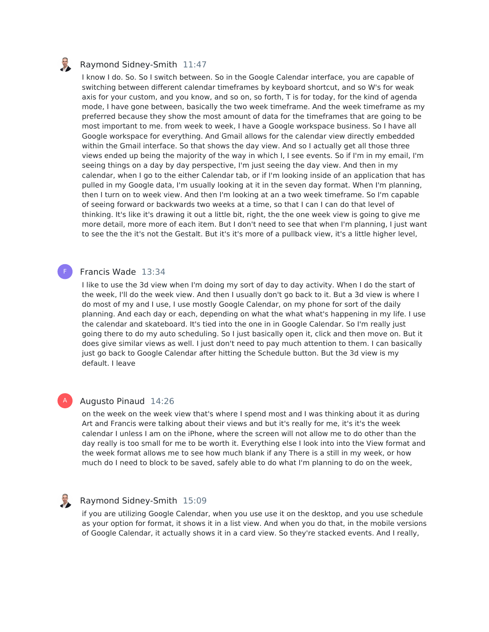

#### Raymond Sidney-Smith 11:47

I know I do. So. So I switch between. So in the Google Calendar interface, you are capable of switching between different calendar timeframes by keyboard shortcut, and so W's for weak axis for your custom, and you know, and so on, so forth, T is for today, for the kind of agenda mode, I have gone between, basically the two week timeframe. And the week timeframe as my preferred because they show the most amount of data for the timeframes that are going to be most important to me. from week to week, I have a Google workspace business. So I have all Google workspace for everything. And Gmail allows for the calendar view directly embedded within the Gmail interface. So that shows the day view. And so I actually get all those three views ended up being the majority of the way in which I, I see events. So if I'm in my email, I'm seeing things on a day by day perspective, I'm just seeing the day view. And then in my calendar, when I go to the either Calendar tab, or if I'm looking inside of an application that has pulled in my Google data, I'm usually looking at it in the seven day format. When I'm planning, then I turn on to week view. And then I'm looking at an a two week timeframe. So I'm capable of seeing forward or backwards two weeks at a time, so that I can I can do that level of thinking. It's like it's drawing it out a little bit, right, the the one week view is going to give me more detail, more more of each item. But I don't need to see that when I'm planning, I just want to see the the it's not the Gestalt. But it's it's more of a pullback view, it's a little higher level,

#### Francis Wade 13:34

I like to use the 3d view when I'm doing my sort of day to day activity. When I do the start of the week, I'll do the week view. And then I usually don't go back to it. But a 3d view is where I do most of my and I use, I use mostly Google Calendar, on my phone for sort of the daily planning. And each day or each, depending on what the what what's happening in my life. I use the calendar and skateboard. It's tied into the one in in Google Calendar. So I'm really just going there to do my auto scheduling. So I just basically open it, click and then move on. But it does give similar views as well. I just don't need to pay much attention to them. I can basically just go back to Google Calendar after hitting the Schedule button. But the 3d view is my default. I leave

## A

F

#### Augusto Pinaud 14:26

on the week on the week view that's where I spend most and I was thinking about it as during Art and Francis were talking about their views and but it's really for me, it's it's the week calendar I unless I am on the iPhone, where the screen will not allow me to do other than the day really is too small for me to be worth it. Everything else I look into into the View format and the week format allows me to see how much blank if any There is a still in my week, or how much do I need to block to be saved, safely able to do what I'm planning to do on the week,

#### Raymond Sidney-Smith 15:09

if you are utilizing Google Calendar, when you use use it on the desktop, and you use schedule as your option for format, it shows it in a list view. And when you do that, in the mobile versions of Google Calendar, it actually shows it in a card view. So they're stacked events. And I really,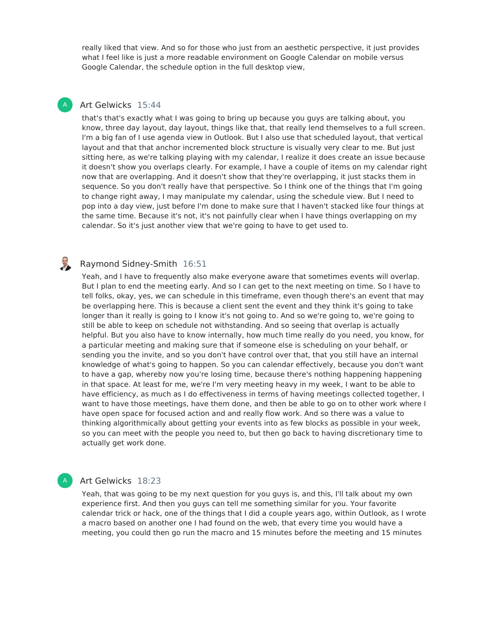really liked that view. And so for those who just from an aesthetic perspective, it just provides what I feel like is just a more readable environment on Google Calendar on mobile versus Google Calendar, the schedule option in the full desktop view,

### Art Gelwicks 15:44

A

B

that's that's exactly what I was going to bring up because you guys are talking about, you know, three day layout, day layout, things like that, that really lend themselves to a full screen. I'm a big fan of I use agenda view in Outlook. But I also use that scheduled layout, that vertical layout and that that anchor incremented block structure is visually very clear to me. But just sitting here, as we're talking playing with my calendar, I realize it does create an issue because it doesn't show you overlaps clearly. For example, I have a couple of items on my calendar right now that are overlapping. And it doesn't show that they're overlapping, it just stacks them in sequence. So you don't really have that perspective. So I think one of the things that I'm going to change right away, I may manipulate my calendar, using the schedule view. But I need to pop into a day view, just before I'm done to make sure that I haven't stacked like four things at the same time. Because it's not, it's not painfully clear when I have things overlapping on my calendar. So it's just another view that we're going to have to get used to.

## Raymond Sidney-Smith 16:51

Yeah, and I have to frequently also make everyone aware that sometimes events will overlap. But I plan to end the meeting early. And so I can get to the next meeting on time. So I have to tell folks, okay, yes, we can schedule in this timeframe, even though there's an event that may be overlapping here. This is because a client sent the event and they think it's going to take longer than it really is going to I know it's not going to. And so we're going to, we're going to still be able to keep on schedule not withstanding. And so seeing that overlap is actually helpful. But you also have to know internally, how much time really do you need, you know, for a particular meeting and making sure that if someone else is scheduling on your behalf, or sending you the invite, and so you don't have control over that, that you still have an internal knowledge of what's going to happen. So you can calendar effectively, because you don't want to have a gap, whereby now you're losing time, because there's nothing happening happening in that space. At least for me, we're I'm very meeting heavy in my week, I want to be able to have efficiency, as much as I do effectiveness in terms of having meetings collected together, I want to have those meetings, have them done, and then be able to go on to other work where I have open space for focused action and and really flow work. And so there was a value to thinking algorithmically about getting your events into as few blocks as possible in your week, so you can meet with the people you need to, but then go back to having discretionary time to actually get work done.

#### Art Gelwicks 18:23

A

Yeah, that was going to be my next question for you guys is, and this, I'll talk about my own experience first. And then you guys can tell me something similar for you. Your favorite calendar trick or hack, one of the things that I did a couple years ago, within Outlook, as I wrote a macro based on another one I had found on the web, that every time you would have a meeting, you could then go run the macro and 15 minutes before the meeting and 15 minutes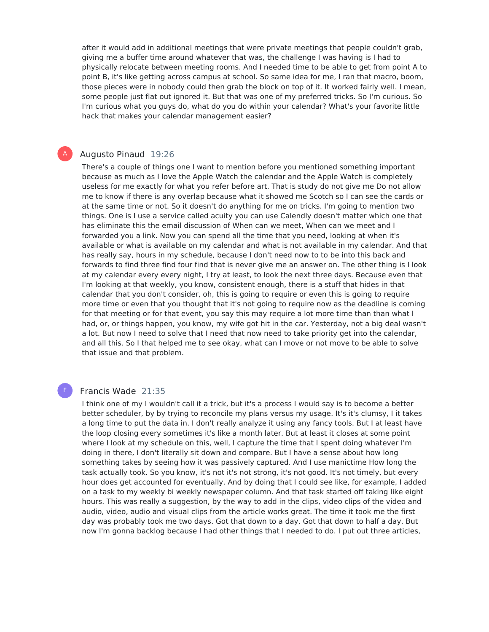after it would add in additional meetings that were private meetings that people couldn't grab, giving me a buffer time around whatever that was, the challenge I was having is I had to physically relocate between meeting rooms. And I needed time to be able to get from point A to point B, it's like getting across campus at school. So same idea for me, I ran that macro, boom, those pieces were in nobody could then grab the block on top of it. It worked fairly well. I mean, some people just flat out ignored it. But that was one of my preferred tricks. So I'm curious. So I'm curious what you guys do, what do you do within your calendar? What's your favorite little hack that makes your calendar management easier?

#### Augusto Pinaud 19:26

A

F

There's a couple of things one I want to mention before you mentioned something important because as much as I love the Apple Watch the calendar and the Apple Watch is completely useless for me exactly for what you refer before art. That is study do not give me Do not allow me to know if there is any overlap because what it showed me Scotch so I can see the cards or at the same time or not. So it doesn't do anything for me on tricks. I'm going to mention two things. One is I use a service called acuity you can use Calendly doesn't matter which one that has eliminate this the email discussion of When can we meet, When can we meet and I forwarded you a link. Now you can spend all the time that you need, looking at when it's available or what is available on my calendar and what is not available in my calendar. And that has really say, hours in my schedule, because I don't need now to to be into this back and forwards to find three find four find that is never give me an answer on. The other thing is I look at my calendar every every night, I try at least, to look the next three days. Because even that I'm looking at that weekly, you know, consistent enough, there is a stuff that hides in that calendar that you don't consider, oh, this is going to require or even this is going to require more time or even that you thought that it's not going to require now as the deadline is coming for that meeting or for that event, you say this may require a lot more time than than what I had, or, or things happen, you know, my wife got hit in the car. Yesterday, not a big deal wasn't a lot. But now Ineed to solve that I need that now need to take priority get into the calendar, and all this. So I that helped me to see okay, what can I move or not move to be able to solve that issue and that problem.

#### Francis Wade 21:35

I think one of my I wouldn't call it a trick, but it's a process I would say is to become a better better scheduler, by by trying to reconcile my plans versus my usage. It's it's clumsy, I it takes a long time to put the data in. I don't really analyze it using any fancy tools. But I at least have the loop closing every sometimes it's like a month later. But at least it closes at some point where I look at my schedule on this, well, I capture the time that I spent doing whatever I'm doing in there, I don't literally sit down and compare. But I have a sense about how long something takes by seeing how it was passively captured. And I use manictime How long the task actually took. So you know, it's not it's not strong, it's not good. It's not timely, but every hour does get accounted for eventually. And by doing that I could see like, for example, I added on a task to my weekly bi weekly newspaper column. And that task started off taking like eight hours. This was really a suggestion, by the way to add in the clips, video clips of the video and audio, video, audio and visual clips from the article works great. The time it took me the first day was probably took me two days. Got that down to a day. Got that down to half a day. But now I'm gonna backlog because I had other things that I needed to do. I put out three articles,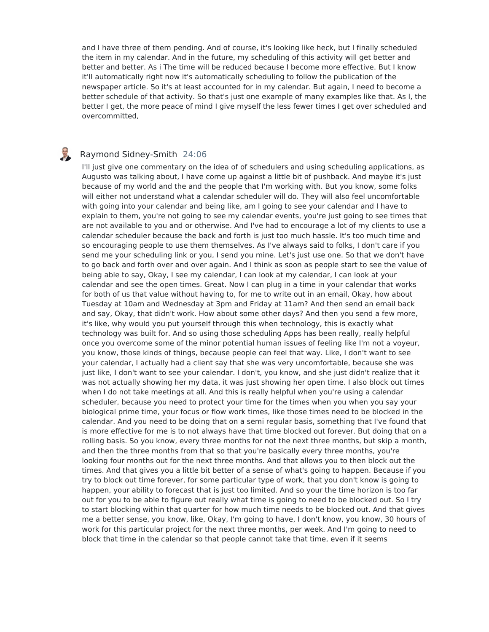and I have three of them pending. And of course, it's looking like heck, but I finally scheduled the item in my calendar. And in the future, my scheduling of this activity will get better and better and better. As i The time will be reduced because I become more effective. But I know it'll automatically right now it's automatically scheduling to follow the publication of the newspaper article. So it's at least accounted for in my calendar. But again, I need to become a better schedule of that activity. So that's just one example of many examples like that. As I, the better I get, the more peace of mind I give myself the less fewer times I get over scheduled and overcommitted,

#### **U.** Raymond Sidney-Smith 24:06

I'll just give one commentary on the idea of of schedulers and using scheduling applications, as Augusto was talking about, I have come up against a little bit of pushback. And maybe it's just because of my world and the and the people that I'm working with. But you know, some folks will either not understand what a calendar scheduler will do. They will also feel uncomfortable with going into your calendar and being like, am I going to see your calendar and I have to explain to them, you're not going to see my calendar events, you're just going to see times that are not available to you and or otherwise. And I've had to encourage a lot of my clients to use a calendar scheduler because the back and forth is just too much hassle. It's too much time and so encouraging people to use them themselves. As I've always said to folks, I don't care if you send me your scheduling link or you, I send you mine. Let's just use one. So that we don't have to go back and forth over and over again. And I think as soon as people start to see the value of being able to say, Okay, I see my calendar, I can look at my calendar, I can look at your calendar and see the open times. Great. Now Ican plug in a time in your calendar that works for both of us that value without having to, for me to write out in an email, Okay, how about Tuesday at 10am and Wednesday at 3pm and Friday at 11am? And then send an email back and say, Okay, that didn't work. How about some other days? And then you send a few more, it's like, why would you put yourself through this when technology, this is exactly what technology was built for. And so using those scheduling Apps has been really, really helpful once you overcome some of the minor potential human issues of feeling like I'm not a voyeur, you know, those kinds of things, because people can feel that way. Like, I don't want to see your calendar, I actually had a client say that she was very uncomfortable, because she was just like, I don't want to see your calendar. I don't, you know, and she just didn't realize that it was not actually showing her my data, it was just showing her open time. I also block out times when I do not take meetings at all. And this is really helpful when you're using a calendar scheduler, because you need to protect your time for the times when you when you say your biological prime time, your focus or flow work times, like those times need to be blocked in the calendar. And you need to be doing that on a semi regular basis, something that I've found that is more effective for me is to not always have that time blocked out forever. But doing that on a rolling basis. So you know, every three months for not the next three months, but skip a month, and then the three months from that so that you're basically every three months, you're looking four months out for the next three months. And that allows you to then block out the times. And that gives you a little bit better of a sense of what's going to happen. Because if you try to block out time forever, for some particular type of work, that you don't know is going to happen, your ability to forecast that is just too limited. And so your the time horizon is too far out for you to be able to figure out really what time is going to need to be blocked out. So I try to start blocking within that quarter for how much time needs to be blocked out. And that gives me a better sense, you know, like, Okay, I'm going to have, I don't know, you know, 30 hours of work for this particular project for the next three months, per week. And I'm going to need to block that time in the calendar so that people cannot take that time, even if it seems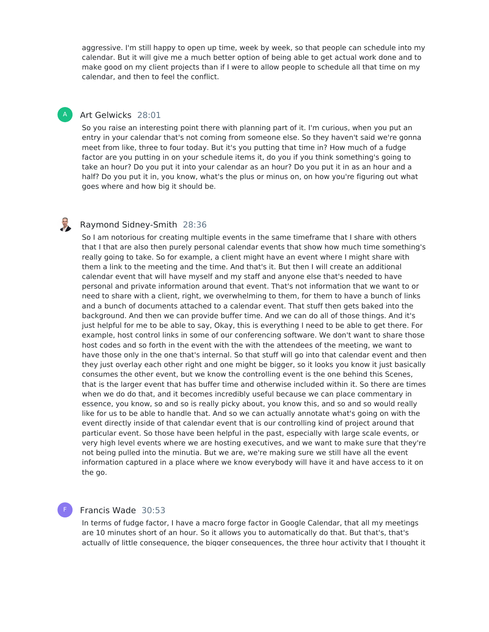aggressive. I'm still happy to open up time, week by week, so that people can schedule into my calendar. But it will give me a much better option of being able to get actual work done and to make good on my client projects than if I were to allow people to schedule all that time on my calendar, and then to feel the conflict.

#### Art Gelwicks 28:01

A

So you raise an interesting point there with planning part of it. I'm curious, when you put an entry in your calendar that's not coming from someone else. So they haven't said we're gonna meet from like, three to four today. But it's you putting that time in? How much of a fudge factor are you putting in on your schedule items it, do you if you think something's going to take an hour? Do you put it into your calendar as an hour? Do you put it in as an hour and a half? Do you put it in, you know, what's the plus or minus on, on how you're figuring out what goes where and how big it should be.

#### Raymond Sidney-Smith 28:36

So I am notorious for creating multiple events in the same timeframe that I share with others that I that are also then purely personal calendar events that show how much time something's really going to take. So for example, a client might have an event where I might share with them a link to the meeting and the time. And that's it. But then I will create an additional calendar event that will have myself and my staff and anyone else that's needed to have personal and private information around that event. That's not information that we want to or need to share with a client, right, we overwhelming to them, for them to have a bunch of links and a bunch of documents attached to a calendar event. That stuff then gets baked into the background. And then we can provide buffer time. And we can do all of those things. And it's just helpful for me to be able to say, Okay, this is everything I need to be able to get there. For example, host control links in some of our conferencing software. We don't want to share those host codes and so forth in the event with the with the attendees of the meeting, we want to have those only in the one that's internal. So that stuff will go into that calendar event and then they just overlay each other right and one might be bigger, so it looks you know it just basically consumes the other event, but we know the controlling event is the one behind this Scenes, that is the larger event that has buffer time and otherwise included within it. So there are times when we do do that, and it becomes incredibly useful because we can place commentary in essence, you know, so and so is really picky about, you know this, and so and so would really like for us to be able to handle that. And so we can actually annotate what's going on with the event directly inside of that calendar event that is our controlling kind of project around that particular event. So those have been helpful in the past, especially with large scale events, or very high level events where we are hosting executives, and we want to make sure that they're not being pulled into the minutia. But we are, we're making sure we still have all the event information captured in a place where we know everybody will have it and have access to it on the go.

#### F

### Francis Wade 30:53

In terms of fudge factor, I have a macro forge factor in Google Calendar, that all my meetings are 10 minutes short of an hour. So it allows you to automatically do that. But that's, that's actually of little consequence, the bigger consequences, the three hour activity that I thought it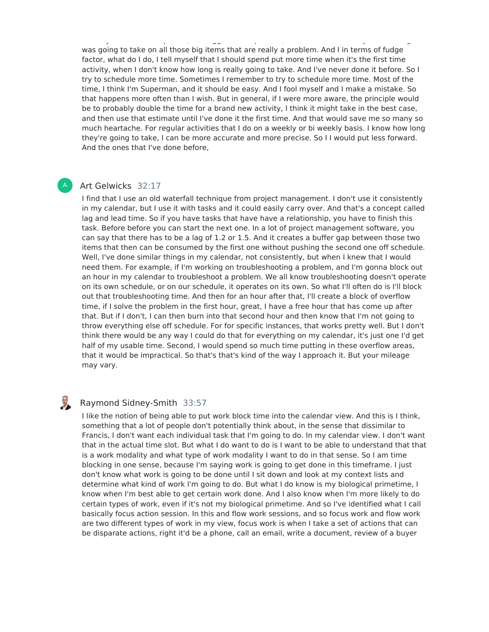actually of little consequence, the bigger consequences, the three hour activity that I thought it was going to take on all those big items that are really a problem. And I in terms of fudge factor, what do I do, I tell myself that I should spend put more time when it's the first time activity, when I don't know how long is really going to take. And I've never done it before. So I try to schedule more time. Sometimes I remember to try to schedule more time. Most of the time, I think I'm Superman, and it should be easy. And I fool myself and I make a mistake. So that happens more often than I wish. But in general, if I were more aware, the principle would be to probably double the time for a brand new activity, I think it might take in the best case, and then use that estimate until I've done it the first time. And that would save me so many so much heartache. For regular activities that I do on a weekly or bi weekly basis. I know how long they're going to take, I can be more accurate and more precise. So I I would put less forward. And the ones that I've done before,

#### Art Gelwicks 32:17

A

I find that I use an old waterfall technique from project management. I don't use it consistently in my calendar, but I use it with tasks and it could easily carry over. And that's a concept called lag and lead time. So if you have tasks that have have a relationship, you have to finish this task. Before before you can start the next one. In a lot of project management software, you can say that there has to be a lag of 1.2 or 1.5. And it creates a buffer gap between those two items that then can be consumed by the first one without pushing the second one off schedule. Well, I've done similar things in my calendar, not consistently, but when I knew that I would need them. For example, if I'm working on troubleshooting a problem, and I'm gonna block out an hour in my calendar to troubleshoot a problem. We all know troubleshooting doesn't operate on its own schedule, or on our schedule, it operates on its own. So what I'll often do is I'll block out that troubleshooting time. And then for an hour after that, I'll create a block of overflow time, if I solve the problem in the first hour, great, I have a free hour that has come up after that. But if I don't, I can then burn into that second hour and then know that I'm not going to throw everything else off schedule. For for specific instances, that works pretty well. But I don't think there would be any way I could do that for everything on my calendar, it's just one I'd get half of my usable time. Second, I would spend so much time putting in these overflow areas, that it would be impractical. So that's that's kind of the way I approach it. But your mileage may vary.

#### B Raymond Sidney-Smith 33:57

I like the notion of being able to put work block time into the calendar view. And this is I think, something that a lot of people don't potentially think about, in the sense that dissimilar to Francis, I don't want each individual task that I'm going to do. In my calendar view. I don't want that in the actual time slot. But what I do want to do is I want to be able to understand that that is a work modality and what type of work modality I want to do in that sense. So I am time blocking in one sense, because I'm saying work is going to get done in this timeframe. I just don't know what work is going to be done until I sit down and look at my context lists and determine what kind of work I'm going to do. But what I do know is my biological primetime, I know when I'm best able to get certain work done. And I also know when I'm more likely to do certain types of work, even if it's not my biological primetime. And so I've identified what I call basically focus action session. In this and flow work sessions, and so focus work and flow work are two different types of work in my view, focus work is when I take a set of actions that can be disparate actions, right it'd be a phone, call an email, write a document, review of a buyer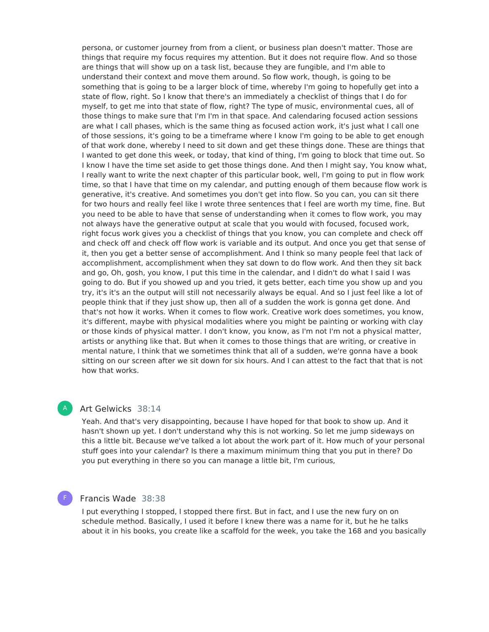persona, or customer journey from from a client, or business plan doesn't matter. Those are things that require my focus requires my attention. But it does not require flow. And so those are things that will show up on a task list, because they are fungible, and I'm able to understand their context and move them around. So flow work, though, is going to be something that is going to be a larger block of time, whereby I'm going to hopefully get into a state of flow, right. So I know that there's an immediately a checklist of things that I do for myself, to get me into that state of flow, right? The type of music, environmental cues, all of those things to make sure that I'm I'm in that space. And calendaring focused action sessions are what I call phases, which is the same thing as focused action work, it's just what I call one of those sessions, it's going to be a timeframe where I know I'm going to be able to get enough of that work done, whereby I need to sit down and get these things done. These are things that I wanted to get done this week, or today, that kind of thing, I'm going to block that time out. So I know I have the time set aside to get those things done. And then I might say, You know what, I really want to write the next chapter of this particular book, well, I'm going to put in flow work time, so that I have that time on my calendar, and putting enough of them because flow work is generative, it's creative. And sometimes you don't get into flow. So you can, you can sit there for two hours and really feel like I wrote three sentences that I feel are worth my time, fine. But you need to be able to have that sense of understanding when it comes to flow work, you may not always have the generative output at scale that you would with focused, focused work, right focus work gives you a checklist of things that you know, you can complete and check off and check off and check off flow work is variable and its output. And once you get that sense of it, then you get a better sense of accomplishment. And I think so many people feel that lack of accomplishment, accomplishment when they sat down to do flow work. And then they sit back and go, Oh, gosh, you know, I put this time in the calendar, and I didn't do what I said I was going to do. But if you showed up and you tried, it gets better, each time you show up and you try, it's it's an the output will still not necessarily always be equal. And so I just feel like a lot of people think that if they just show up, then all of a sudden the work is gonna get done. And that's not how it works. When it comes to flow work. Creative work does sometimes, you know, it's different, maybe with physical modalities where you might be painting or working with clay or those kinds of physical matter. I don't know, you know, as I'm not I'm not a physical matter, artists or anything like that. But when it comes to those things that are writing, or creative in mental nature, I think that we sometimes think that all of a sudden, we're gonna have a book sitting on our screen after we sit down for six hours. And I can attest to the fact that that is not how that works.

## Art Gelwicks 38:14

Yeah. And that's very disappointing, because I have hoped for that book to show up. And it hasn't shown up yet. I don't understand why this is not working. So let me jump sideways on this a little bit. Because we've talked a lot about the work part of it. How much of your personal stuff goes into your calendar? Is there a maximum minimum thing that you put in there? Do you put everything in there so you can manage a little bit, I'm curious,

#### F

A

#### Francis Wade 38:38

I put everything I stopped, I stopped there first. But in fact, and I use the new fury on on schedule method. Basically, I used it before I knew there was a name for it, but he he talks about it in his books, you create like a scaffold for the week, you take the 168 and you basically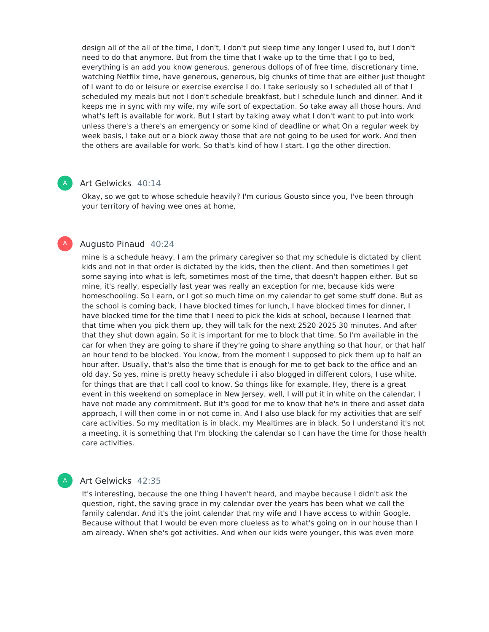design all of the all of the time, I don't, I don't put sleep time any longer I used to, but I don't need to do that anymore. But from the time that I wake up to the time that I go to bed, everything is an add you know generous, generous dollops of of free time, discretionary time, watching Netflix time, have generous, generous, big chunks of time that are either just thought of I want to do or leisure or exercise exercise I do. I take seriously so I scheduled all of that I scheduled my meals but not I don't schedule breakfast, but I schedule lunch and dinner. And it keeps me in sync with my wife, my wife sort of expectation. So take away all those hours. And what's left is available for work. But I start by taking away what I don't want to put into work unless there's a there's an emergency or some kind of deadline or what On a regular week by week basis, I take out or a block away those that are not going to be used for work. And then the others are available for work. So that's kind of how I start. I go the other direction.

#### Art Gelwicks 40:14

A

A

Okay, so we got to whose schedule heavily? I'm curious Gousto since you, I've been through your territory of having wee ones at home,

#### Augusto Pinaud 40:24

mine is a schedule heavy, I am the primary caregiver so that my schedule is dictated by client kids and not in that order is dictated by the kids, then the client. And then sometimes I get some saying into what is left, sometimes most of the time, that doesn't happen either. But so mine, it's really, especially last year was really an exception for me, because kids were homeschooling. So I earn, or I got so much time on my calendar to get some stuff done. But as the school is coming back, I have blocked times for lunch, I have blocked times for dinner, I have blocked time for the time that I need to pick the kids at school, because I learned that that time when you pick them up, they will talk for the next 2520 2025 30 minutes. And after that they shut down again. So it is important for me to block that time. So I'm available in the car for when they are going to share if they're going to share anything so that hour, or that half an hour tend to be blocked. You know, from the moment I supposed to pick them up to half an hour after. Usually, that's also the time that is enough for me to get back to the office and an old day. So yes, mine is pretty heavy schedule i i also blogged in different colors, I use white, for things that are that I call cool to know. So things like for example, Hey, there is a great event in this weekend on someplace in New Jersey, well, I will put it in white on the calendar, I have not made any commitment. But it's good for me to know that he's in there and asset data approach, I will then come in or not come in. And I also use black for my activities that are self care activities. So my meditation is in black, my Mealtimes are in black. So I understand it's not a meeting, it is something that I'm blocking the calendar so I can have the time for those health care activities.

#### Art Gelwicks 42:35

A

It's interesting, because the one thing I haven't heard, and maybe because I didn't ask the question, right, the saving grace in my calendar over the years has been what we call the family calendar. And it's the joint calendar that my wife and I have access to within Google. Because without that I would be even more clueless as to what's going on in our house than I am already. When she's got activities. And when our kids were younger, this was even more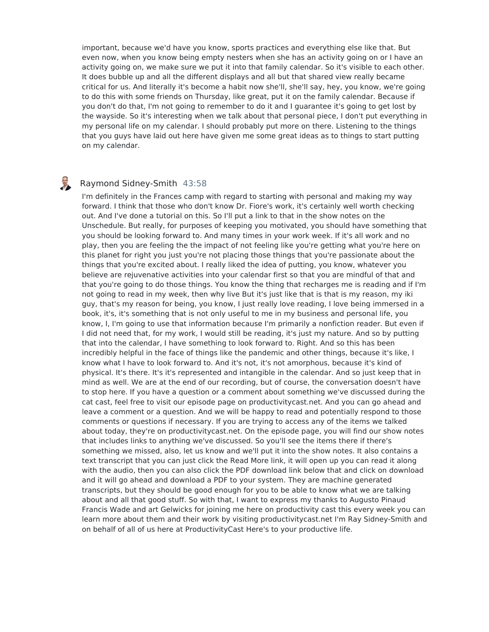important, because we'd have you know, sports practices and everything else like that. But even now, when you know being empty nesters when she has an activity going on or I have an activity going on, we make sure we put it into that family calendar. So it's visible to each other. It does bubble up and all the different displays and all but that shared view really became critical for us. And literally it's become a habit now she'll, she'll say, hey, you know, we're going to do this with some friends on Thursday, like great, put it on the family calendar. Because if you don't do that, I'm not going to remember to do it and I guarantee it's going to get lost by the wayside. So it's interesting when we talk about that personal piece, I don't put everything in my personal life on my calendar. I should probably put more on there. Listening to the things that you guys have laid out here have given me some great ideas as to things to start putting on my calendar.

#### **PED** Raymond Sidney-Smith 43:58

I'm definitely in the Frances camp with regard to starting with personal and making my way forward. I think that those who don't know Dr. Fiore's work, it's certainly well worth checking out. And I've done a tutorial on this. So I'll put a link to that in the show notes on the Unschedule. But really, for purposes of keeping you motivated, you should have something that you should be looking forward to. And many times in your work week. If it's all work and no play, then you are feeling the the impact of not feeling like you're getting what you're here on this planet for right you just you're not placing those things that you're passionate about the things that you're excited about. I really liked the idea of putting, you know, whatever you believe are rejuvenative activities into your calendar first so that you are mindful of that and that you're going to do those things. You know the thing that recharges me is reading and if I'm not going to read in my week, then why live But it's just like that is that is my reason, my iki guy, that's my reason for being, you know, I just really love reading, I love being immersed in a book, it's, it's something that is not only useful to me in my business and personal life, you know, I, I'm going to use that information because I'm primarily a nonfiction reader. But even if I did not need that, for my work, I would still be reading, it's just my nature. And so by putting that into the calendar, I have something to look forward to. Right. And so this has been incredibly helpful in the face of things like the pandemic and other things, because it's like, I know what I have to look forward to. And it's not, it's not amorphous, because it's kind of physical. It's there. It's it's represented and intangible in the calendar. And so just keep that in mind as well. We are at the end of our recording, but of course, the conversation doesn't have to stop here. If you have a question or a comment about something we've discussed during the cat cast, feel free to visit our episode page on productivitycast.net. And you can go ahead and leave a comment or a question. And we will be happy to read and potentially respond to those comments or questions if necessary. If you are trying to access any of the items we talked about today, they're on productivitycast.net. On the episode page, you will find our show notes that includes links to anything we've discussed. So you'll see the items there if there's something we missed, also, let us know and we'll put it into the show notes. It also contains a text transcript that you can just click the Read More link, it will open up you can read it along with the audio, then you can also click the PDF download link below that and click on download and it will go ahead and download a PDF to your system. They are machine generated transcripts, but they should be good enough for you to be able to know what we are talking about and all that good stuff. So with that, I want to express my thanks to Augusto Pinaud Francis Wade and art Gelwicks for joining me here on productivity cast this every week you can learn more about them and their work by visiting productivitycast.net I'm Ray Sidney-Smith and on behalf of all of us here at ProductivityCast Here's to your productive life.